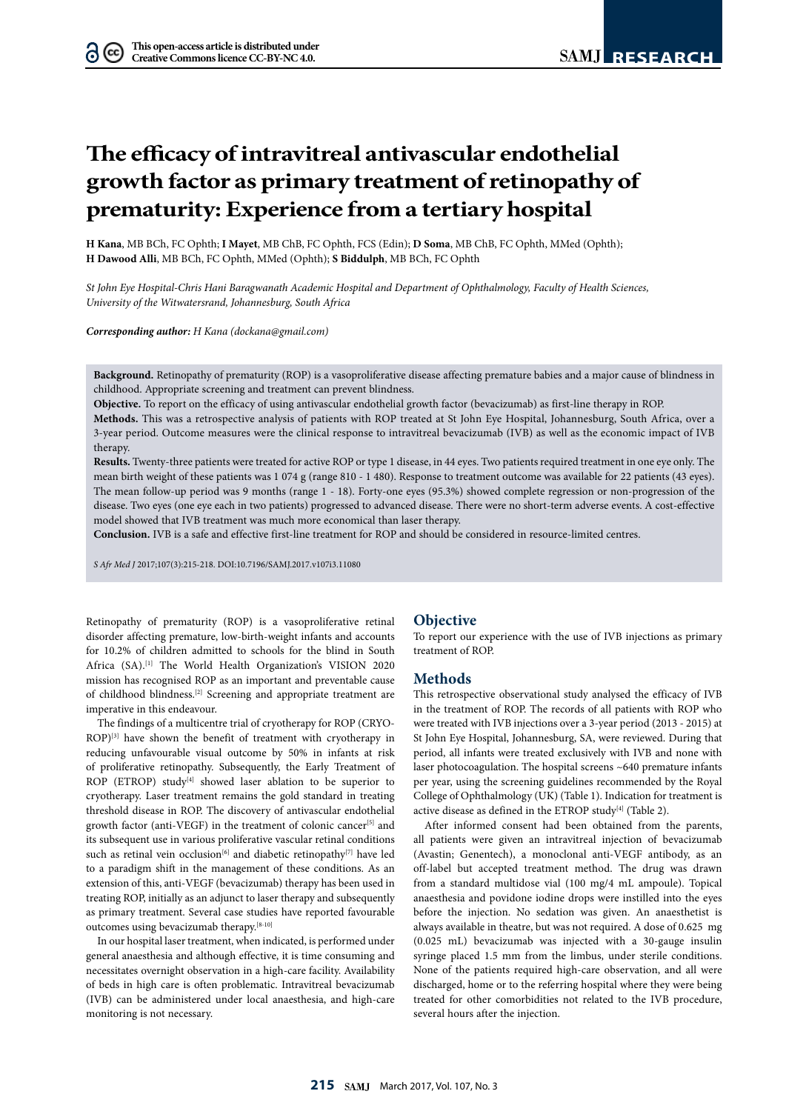# **The efficacy of intravitreal antivascular endothelial growth factor as primary treatment of retinopathy of prematurity: Experience from a tertiary hospital**

**H Kana**, MB BCh, FC Ophth; **I Mayet**, MB ChB, FC Ophth, FCS (Edin); **D Soma**, MB ChB, FC Ophth, MMed (Ophth); **H Dawood Alli**, MB BCh, FC Ophth, MMed (Ophth); **S Biddulph**, MB BCh, FC Ophth

*St John Eye Hospital-Chris Hani Baragwanath Academic Hospital and Department of Ophthalmology, Faculty of Health Sciences, University of the Witwatersrand, Johannesburg, South Africa*

*Corresponding author: H Kana (dockana@gmail.com)*

**Background.** Retinopathy of prematurity (ROP) is a vasoproliferative disease affecting premature babies and a major cause of blindness in childhood. Appropriate screening and treatment can prevent blindness.

**Objective.** To report on the efficacy of using antivascular endothelial growth factor (bevacizumab) as first-line therapy in ROP.

**Methods.** This was a retrospective analysis of patients with ROP treated at St John Eye Hospital, Johannesburg, South Africa, over a 3-year period. Outcome measures were the clinical response to intravitreal bevacizumab (IVB) as well as the economic impact of IVB therapy.

**Results.** Twenty-three patients were treated for active ROP or type 1 disease, in 44 eyes. Two patients required treatment in one eye only. The mean birth weight of these patients was 1 074 g (range 810 - 1 480). Response to treatment outcome was available for 22 patients (43 eyes). The mean follow-up period was 9 months (range 1 - 18). Forty-one eyes (95.3%) showed complete regression or non-progression of the disease. Two eyes (one eye each in two patients) progressed to advanced disease. There were no short-term adverse events. A cost-effective model showed that IVB treatment was much more economical than laser therapy.

**Conclusion.** IVB is a safe and effective first-line treatment for ROP and should be considered in resource-limited centres.

*S Afr Med J* 2017;107(3):215-218. DOI:10.7196/SAMJ.2017.v107i3.11080

Retinopathy of prematurity (ROP) is a vasoproliferative retinal disorder affecting premature, low-birth-weight infants and accounts for 10.2% of children admitted to schools for the blind in South Africa (SA).<sup>[1]</sup> The World Health Organization's VISION 2020 mission has recognised ROP as an important and preventable cause of childhood blindness.[2] Screening and appropriate treatment are imperative in this endeavour.

The findings of a multicentre trial of cryotherapy for ROP (CRYO-ROP)<sup>[3]</sup> have shown the benefit of treatment with cryotherapy in reducing unfavourable visual outcome by 50% in infants at risk of proliferative retinopathy. Subsequently, the Early Treatment of ROP (ETROP) study<sup>[4]</sup> showed laser ablation to be superior to cryotherapy. Laser treatment remains the gold standard in treating threshold disease in ROP. The discovery of antivascular endothelial growth factor (anti-VEGF) in the treatment of colonic cancer<sup>[5]</sup> and its subsequent use in various proliferative vascular retinal conditions such as retinal vein occlusion<sup>[6]</sup> and diabetic retinopathy<sup>[7]</sup> have led to a paradigm shift in the management of these conditions. As an extension of this, anti-VEGF (bevacizumab) therapy has been used in treating ROP, initially as an adjunct to laser therapy and subsequently as primary treatment. Several case studies have reported favourable outcomes using bevacizumab therapy.[8-10]

In our hospital laser treatment, when indicated, is performed under general anaesthesia and although effective, it is time consuming and necessitates overnight observation in a high-care facility. Availability of beds in high care is often problematic. Intravitreal bevacizumab (IVB) can be administered under local anaesthesia, and high-care monitoring is not necessary.

## **Objective**

To report our experience with the use of IVB injections as primary treatment of ROP.

## **Methods**

This retrospective observational study analysed the efficacy of IVB in the treatment of ROP. The records of all patients with ROP who were treated with IVB injections over a 3-year period (2013 - 2015) at St John Eye Hospital, Johannesburg, SA, were reviewed. During that period, all infants were treated exclusively with IVB and none with laser photocoagulation. The hospital screens ~640 premature infants per year, using the screening guidelines recommended by the Royal College of Ophthalmology (UK) (Table 1). Indication for treatment is active disease as defined in the ETROP study $[4]$  (Table 2).

After informed consent had been obtained from the parents, all patients were given an intravitreal injection of bevacizumab (Avastin; Genentech), a monoclonal anti-VEGF antibody, as an off-label but accepted treatment method. The drug was drawn from a standard multidose vial (100 mg/4 mL ampoule). Topical anaesthesia and povidone iodine drops were instilled into the eyes before the injection. No sedation was given. An anaesthetist is always available in theatre, but was not required. A dose of 0.625 mg (0.025 mL) bevacizumab was injected with a 30-gauge insulin syringe placed 1.5 mm from the limbus, under sterile conditions. None of the patients required high-care observation, and all were discharged, home or to the referring hospital where they were being treated for other comorbidities not related to the IVB procedure, several hours after the injection.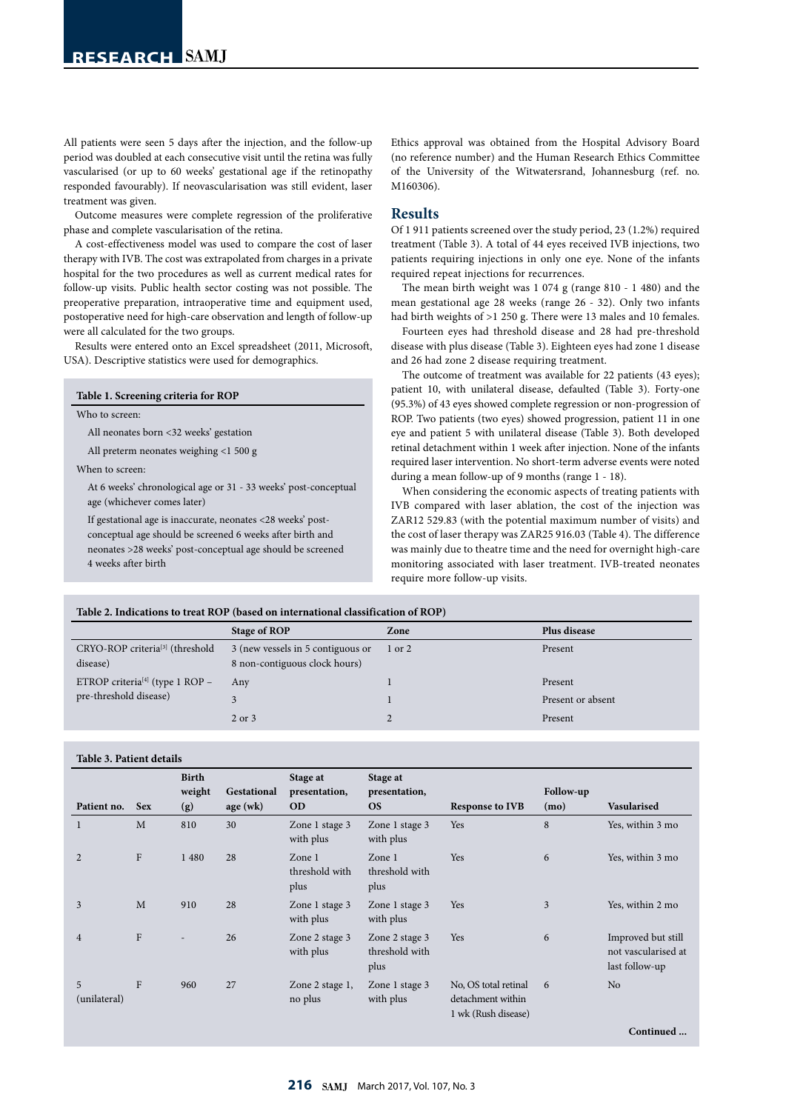All patients were seen 5 days after the injection, and the follow-up period was doubled at each consecutive visit until the retina was fully vascularised (or up to 60 weeks' gestational age if the retinopathy responded favourably). If neovascularisation was still evident, laser treatment was given.

Outcome measures were complete regression of the proliferative phase and complete vascularisation of the retina.

A cost-effectiveness model was used to compare the cost of laser therapy with IVB. The cost was extrapolated from charges in a private hospital for the two procedures as well as current medical rates for follow-up visits. Public health sector costing was not possible. The preoperative preparation, intraoperative time and equipment used, postoperative need for high-care observation and length of follow-up were all calculated for the two groups.

Results were entered onto an Excel spreadsheet (2011, Microsoft, USA). Descriptive statistics were used for demographics.

|  | Table 1. Screening criteria for ROP |  |  |
|--|-------------------------------------|--|--|
|--|-------------------------------------|--|--|

Who to screen:

All neonates born <32 weeks' gestation

All preterm neonates weighing <1 500 g

When to screen:

At 6 weeks' chronological age or 31 - 33 weeks' post-conceptual age (whichever comes later)

If gestational age is inaccurate, neonates <28 weeks' postconceptual age should be screened 6 weeks after birth and neonates >28 weeks' post-conceptual age should be screened 4 weeks after birth

Ethics approval was obtained from the Hospital Advisory Board (no reference number) and the Human Research Ethics Committee of the University of the Witwatersrand, Johannesburg (ref. no. M160306).

## **Results**

Of 1 911 patients screened over the study period, 23 (1.2%) required treatment (Table 3). A total of 44 eyes received IVB injections, two patients requiring injections in only one eye. None of the infants required repeat injections for recurrences.

The mean birth weight was 1 074 g (range 810 - 1 480) and the mean gestational age 28 weeks (range 26 - 32). Only two infants had birth weights of >1 250 g. There were 13 males and 10 females.

Fourteen eyes had threshold disease and 28 had pre-threshold disease with plus disease (Table 3). Eighteen eyes had zone 1 disease and 26 had zone 2 disease requiring treatment.

The outcome of treatment was available for 22 patients (43 eyes); patient 10, with unilateral disease, defaulted (Table 3). Forty-one (95.3%) of 43 eyes showed complete regression or non-progression of ROP. Two patients (two eyes) showed progression, patient 11 in one eye and patient 5 with unilateral disease (Table 3). Both developed retinal detachment within 1 week after injection. None of the infants required laser intervention. No short-term adverse events were noted during a mean follow-up of 9 months (range 1 - 18).

When considering the economic aspects of treating patients with IVB compared with laser ablation, the cost of the injection was ZAR12 529.83 (with the potential maximum number of visits) and the cost of laser therapy was ZAR25 916.03 (Table 4). The difference was mainly due to theatre time and the need for overnight high-care monitoring associated with laser treatment. IVB-treated neonates require more follow-up visits.

**Table 2. Indications to treat ROP (based on international classification of ROP)**

|                                                         | Stage of ROP                                                       | Zone   | Plus disease      |
|---------------------------------------------------------|--------------------------------------------------------------------|--------|-------------------|
| CRYO-ROP criteria <sup>[3]</sup> (threshold<br>disease) | 3 (new vessels in 5 contiguous or<br>8 non-contiguous clock hours) | 1 or 2 | Present           |
| ETROP criteria <sup>[4]</sup> (type 1 ROP $-$           | Any                                                                |        | Present           |
| pre-threshold disease)                                  |                                                                    |        | Present or absent |
|                                                         | 2 or 3                                                             |        | Present           |

#### **Table 3. Patient details**

| Patient no.       | <b>Sex</b>   | <b>Birth</b><br>weight<br>(g) | Gestational<br>age(wk) | Stage at<br>presentation,<br><b>OD</b> | Stage at<br>presentation,<br><b>OS</b>   | <b>Response to IVB</b>                                           | Follow-up<br>(mo) | Vasularised                                                 |
|-------------------|--------------|-------------------------------|------------------------|----------------------------------------|------------------------------------------|------------------------------------------------------------------|-------------------|-------------------------------------------------------------|
| 1                 | M            | 810                           | 30                     | Zone 1 stage 3<br>with plus            | Zone 1 stage 3<br>with plus              | Yes                                                              | 8                 | Yes, within 3 mo                                            |
| $\overline{2}$    | $\rm F$      | 1 4 8 0                       | 28                     | Zone 1<br>threshold with<br>plus       | Zone 1<br>threshold with<br>plus         | Yes                                                              | 6                 | Yes, within 3 mo                                            |
| 3                 | M            | 910                           | 28                     | Zone 1 stage 3<br>with plus            | Zone 1 stage 3<br>with plus              | Yes                                                              | 3                 | Yes, within 2 mo                                            |
| $\overline{4}$    | $\mathbf{F}$ | $\overline{\phantom{a}}$      | 26                     | Zone 2 stage 3<br>with plus            | Zone 2 stage 3<br>threshold with<br>plus | Yes                                                              | 6                 | Improved but still<br>not vascularised at<br>last follow-up |
| 5<br>(unilateral) | $\mathbf{F}$ | 960                           | 27                     | Zone 2 stage 1,<br>no plus             | Zone 1 stage 3<br>with plus              | No, OS total retinal<br>detachment within<br>1 wk (Rush disease) | 6                 | N <sub>o</sub>                                              |
|                   |              |                               |                        |                                        |                                          |                                                                  |                   | Continued                                                   |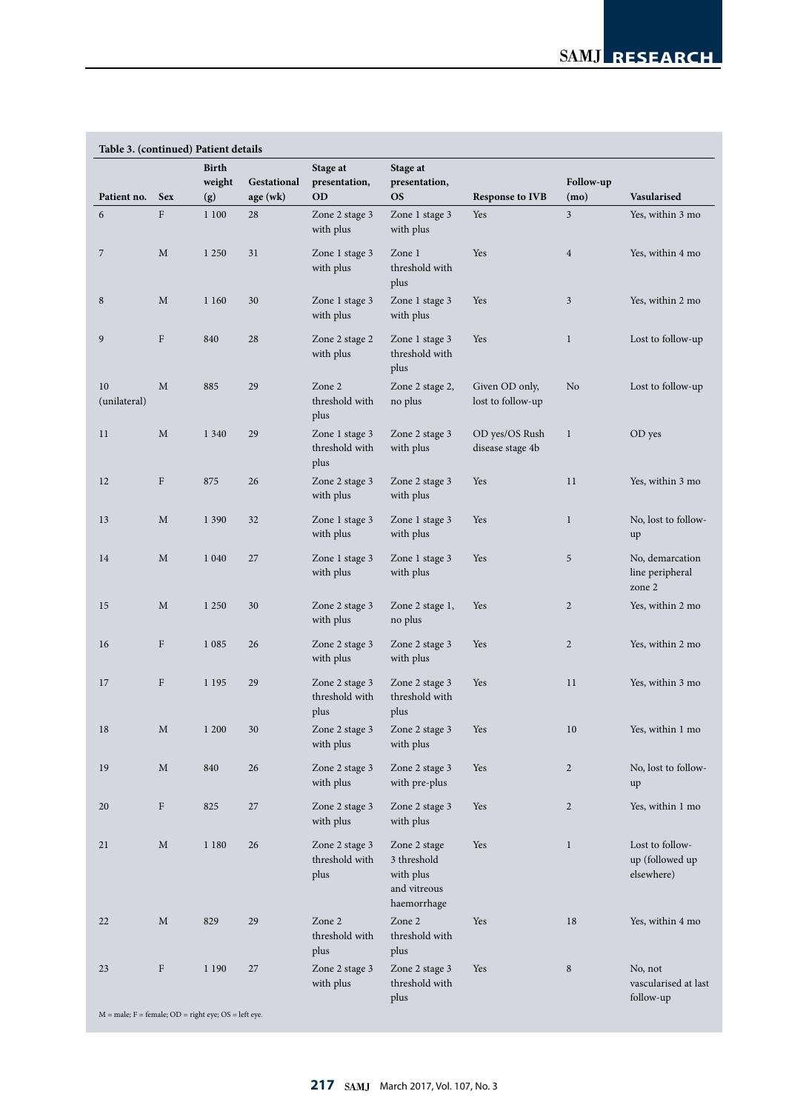| Patient no.        | <b>Sex</b>   | <b>Birth</b><br>weight<br>(g) | Gestational<br>age (wk) | Stage at<br>presentation,<br><b>OD</b>   | Stage at<br>presentation,<br><b>OS</b>                                  | <b>Response to IVB</b>              | Follow-up<br>(mo) | Vasularised                                      |
|--------------------|--------------|-------------------------------|-------------------------|------------------------------------------|-------------------------------------------------------------------------|-------------------------------------|-------------------|--------------------------------------------------|
| 6                  | $\mathbf{F}$ | 1 100                         | 28                      | Zone 2 stage 3<br>with plus              | Zone 1 stage 3<br>with plus                                             | Yes                                 | 3                 | Yes, within 3 mo                                 |
| 7                  | M            | 1 2 5 0                       | 31                      | Zone 1 stage 3<br>with plus              | Zone 1<br>threshold with<br>plus                                        | Yes                                 | $\overline{4}$    | Yes, within 4 mo                                 |
| 8                  | M            | 1 1 6 0                       | 30                      | Zone 1 stage 3<br>with plus              | Zone 1 stage 3<br>with plus                                             | Yes                                 | 3                 | Yes, within 2 mo                                 |
| 9                  | F            | 840                           | 28                      | Zone 2 stage 2<br>with plus              | Zone 1 stage 3<br>threshold with<br>plus                                | Yes                                 | $\mathbf{1}$      | Lost to follow-up                                |
| 10<br>(unilateral) | M            | 885                           | 29                      | Zone 2<br>threshold with<br>plus         | Zone 2 stage 2,<br>no plus                                              | Given OD only,<br>lost to follow-up | No                | Lost to follow-up                                |
| 11                 | M            | 1 3 4 0                       | 29                      | Zone 1 stage 3<br>threshold with<br>plus | Zone 2 stage 3<br>with plus                                             | OD yes/OS Rush<br>disease stage 4b  | $\mathbf{1}$      | OD yes                                           |
| 12                 | F            | 875                           | 26                      | Zone 2 stage 3<br>with plus              | Zone 2 stage 3<br>with plus                                             | Yes                                 | 11                | Yes, within 3 mo                                 |
| 13                 | M            | 1 3 9 0                       | 32                      | Zone 1 stage 3<br>with plus              | Zone 1 stage 3<br>with plus                                             | Yes                                 | $\mathbf{1}$      | No, lost to follow-<br>up                        |
| 14                 | M            | 1 0 4 0                       | 27                      | Zone 1 stage 3<br>with plus              | Zone 1 stage 3<br>with plus                                             | Yes                                 | 5                 | No, demarcation<br>line peripheral<br>zone 2     |
| 15                 | M            | 1 2 5 0                       | 30                      | Zone 2 stage 3<br>with plus              | Zone 2 stage 1,<br>no plus                                              | Yes                                 | $\overline{c}$    | Yes, within 2 mo                                 |
| 16                 | F            | 1 0 8 5                       | 26                      | Zone 2 stage 3<br>with plus              | Zone 2 stage 3<br>with plus                                             | Yes                                 | $\overline{c}$    | Yes, within 2 mo                                 |
| 17                 | F            | 1 1 9 5                       | 29                      | Zone 2 stage 3<br>threshold with<br>plus | Zone 2 stage 3<br>threshold with<br>plus                                | Yes                                 | 11                | Yes, within 3 mo                                 |
| 18                 | M            | $1\ 200$                      | $30\,$                  | Zone 2 stage 3<br>with plus              | Zone 2 stage 3<br>with plus                                             | Yes                                 | $10\,$            | Yes, within 1 mo                                 |
| 19                 | M            | 840                           | 26                      | Zone 2 stage 3<br>with plus              | Zone 2 stage 3<br>with pre-plus                                         | Yes                                 | $\overline{c}$    | No, lost to follow-<br>up                        |
| 20                 | ${\rm F}$    | 825                           | 27                      | Zone 2 stage 3<br>with plus              | Zone 2 stage 3<br>with plus                                             | Yes                                 | $\overline{c}$    | Yes, within 1 mo                                 |
| 21                 | $\mathbf M$  | 1 1 8 0                       | 26                      | Zone 2 stage 3<br>threshold with<br>plus | Zone 2 stage<br>3 threshold<br>with plus<br>and vitreous<br>haemorrhage | Yes                                 | $\mathbf{1}$      | Lost to follow-<br>up (followed up<br>elsewhere) |
| 22                 | $\mathbf M$  | 829                           | 29                      | Zone 2<br>threshold with<br>plus         | Zone 2<br>threshold with<br>plus                                        | Yes                                 | 18                | Yes, within 4 mo                                 |
| 23                 | F            | 1 1 9 0                       | 27                      | Zone 2 stage 3<br>with plus              | Zone 2 stage 3<br>threshold with<br>plus                                | Yes                                 | $\,8\,$           | No, not<br>vascularised at last<br>follow-up     |